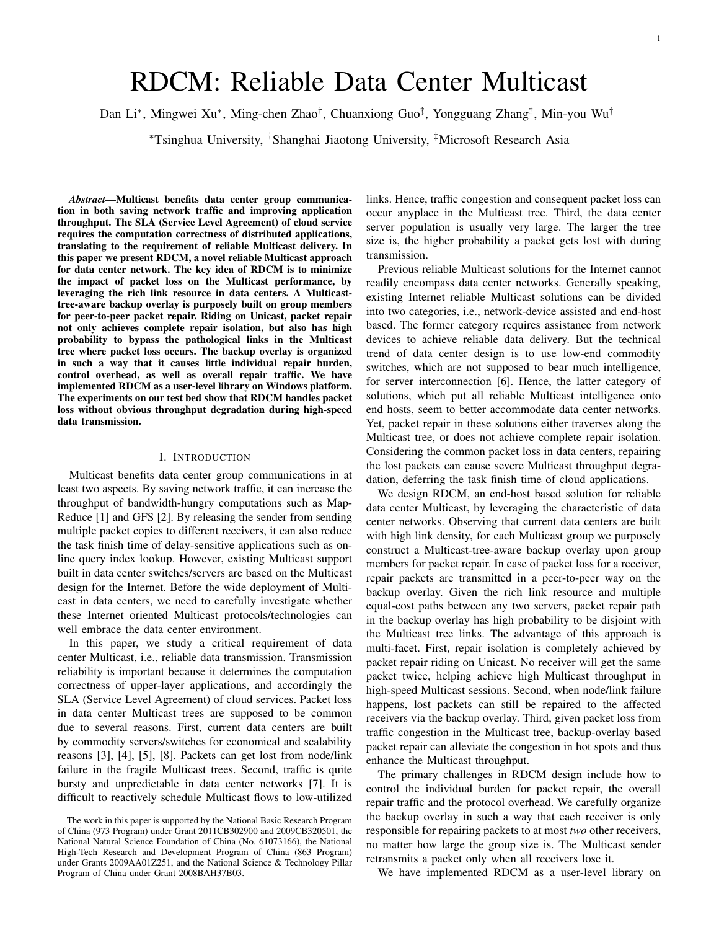# RDCM: Reliable Data Center Multicast

Dan Li<sup>∗</sup>, Mingwei Xu<sup>∗</sup>, Ming-chen Zhao<sup>†</sup>, Chuanxiong Guo<sup>‡</sup>, Yongguang Zhang<sup>‡</sup>, Min-you Wu<sup>†</sup>

<sup>∗</sup>Tsinghua University, †Shanghai Jiaotong University, ‡Microsoft Research Asia

*Abstract*—Multicast benefits data center group communication in both saving network traffic and improving application throughput. The SLA (Service Level Agreement) of cloud service requires the computation correctness of distributed applications, translating to the requirement of reliable Multicast delivery. In this paper we present RDCM, a novel reliable Multicast approach for data center network. The key idea of RDCM is to minimize the impact of packet loss on the Multicast performance, by leveraging the rich link resource in data centers. A Multicasttree-aware backup overlay is purposely built on group members for peer-to-peer packet repair. Riding on Unicast, packet repair not only achieves complete repair isolation, but also has high probability to bypass the pathological links in the Multicast tree where packet loss occurs. The backup overlay is organized in such a way that it causes little individual repair burden, control overhead, as well as overall repair traffic. We have implemented RDCM as a user-level library on Windows platform. The experiments on our test bed show that RDCM handles packet loss without obvious throughput degradation during high-speed data transmission.

### I. INTRODUCTION

Multicast benefits data center group communications in at least two aspects. By saving network traffic, it can increase the throughput of bandwidth-hungry computations such as Map-Reduce [1] and GFS [2]. By releasing the sender from sending multiple packet copies to different receivers, it can also reduce the task finish time of delay-sensitive applications such as online query index lookup. However, existing Multicast support built in data center switches/servers are based on the Multicast design for the Internet. Before the wide deployment of Multicast in data centers, we need to carefully investigate whether these Internet oriented Multicast protocols/technologies can well embrace the data center environment.

In this paper, we study a critical requirement of data center Multicast, i.e., reliable data transmission. Transmission reliability is important because it determines the computation correctness of upper-layer applications, and accordingly the SLA (Service Level Agreement) of cloud services. Packet loss in data center Multicast trees are supposed to be common due to several reasons. First, current data centers are built by commodity servers/switches for economical and scalability reasons [3], [4], [5], [8]. Packets can get lost from node/link failure in the fragile Multicast trees. Second, traffic is quite bursty and unpredictable in data center networks [7]. It is difficult to reactively schedule Multicast flows to low-utilized links. Hence, traffic congestion and consequent packet loss can occur anyplace in the Multicast tree. Third, the data center server population is usually very large. The larger the tree size is, the higher probability a packet gets lost with during transmission.

Previous reliable Multicast solutions for the Internet cannot readily encompass data center networks. Generally speaking, existing Internet reliable Multicast solutions can be divided into two categories, i.e., network-device assisted and end-host based. The former category requires assistance from network devices to achieve reliable data delivery. But the technical trend of data center design is to use low-end commodity switches, which are not supposed to bear much intelligence, for server interconnection [6]. Hence, the latter category of solutions, which put all reliable Multicast intelligence onto end hosts, seem to better accommodate data center networks. Yet, packet repair in these solutions either traverses along the Multicast tree, or does not achieve complete repair isolation. Considering the common packet loss in data centers, repairing the lost packets can cause severe Multicast throughput degradation, deferring the task finish time of cloud applications.

We design RDCM, an end-host based solution for reliable data center Multicast, by leveraging the characteristic of data center networks. Observing that current data centers are built with high link density, for each Multicast group we purposely construct a Multicast-tree-aware backup overlay upon group members for packet repair. In case of packet loss for a receiver, repair packets are transmitted in a peer-to-peer way on the backup overlay. Given the rich link resource and multiple equal-cost paths between any two servers, packet repair path in the backup overlay has high probability to be disjoint with the Multicast tree links. The advantage of this approach is multi-facet. First, repair isolation is completely achieved by packet repair riding on Unicast. No receiver will get the same packet twice, helping achieve high Multicast throughput in high-speed Multicast sessions. Second, when node/link failure happens, lost packets can still be repaired to the affected receivers via the backup overlay. Third, given packet loss from traffic congestion in the Multicast tree, backup-overlay based packet repair can alleviate the congestion in hot spots and thus enhance the Multicast throughput.

The primary challenges in RDCM design include how to control the individual burden for packet repair, the overall repair traffic and the protocol overhead. We carefully organize the backup overlay in such a way that each receiver is only responsible for repairing packets to at most *two* other receivers, no matter how large the group size is. The Multicast sender retransmits a packet only when all receivers lose it.

We have implemented RDCM as a user-level library on

The work in this paper is supported by the National Basic Research Program of China (973 Program) under Grant 2011CB302900 and 2009CB320501, the National Natural Science Foundation of China (No. 61073166), the National High-Tech Research and Development Program of China (863 Program) under Grants 2009AA01Z251, and the National Science & Technology Pillar Program of China under Grant 2008BAH37B03.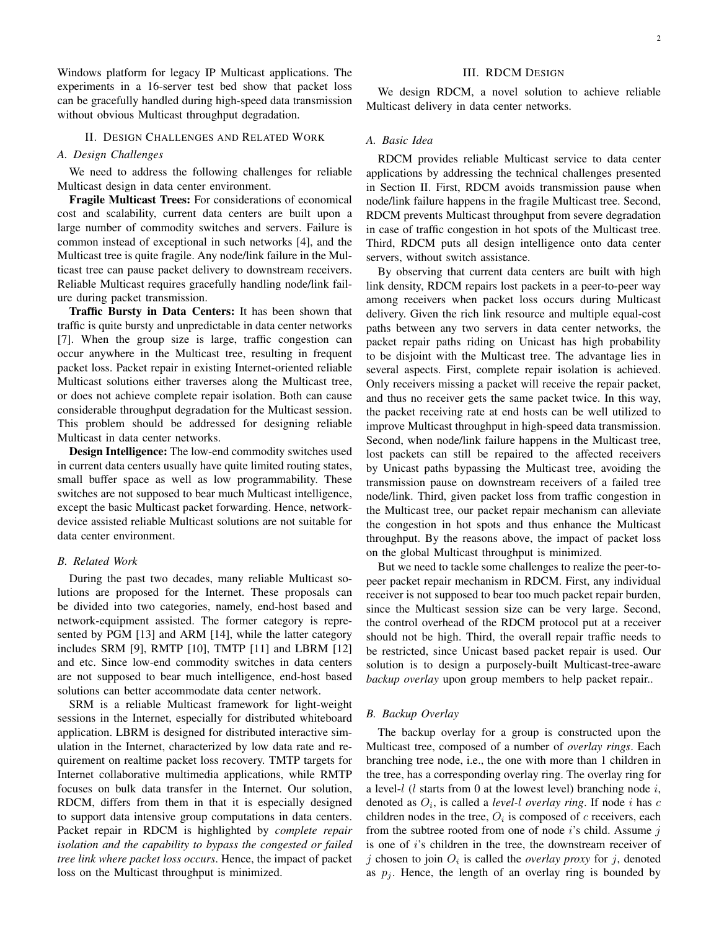Windows platform for legacy IP Multicast applications. The experiments in a 16-server test bed show that packet loss can be gracefully handled during high-speed data transmission without obvious Multicast throughput degradation.

## II. DESIGN CHALLENGES AND RELATED WORK

## *A. Design Challenges*

We need to address the following challenges for reliable Multicast design in data center environment.

Fragile Multicast Trees: For considerations of economical cost and scalability, current data centers are built upon a large number of commodity switches and servers. Failure is common instead of exceptional in such networks [4], and the Multicast tree is quite fragile. Any node/link failure in the Multicast tree can pause packet delivery to downstream receivers. Reliable Multicast requires gracefully handling node/link failure during packet transmission.

Traffic Bursty in Data Centers: It has been shown that traffic is quite bursty and unpredictable in data center networks [7]. When the group size is large, traffic congestion can occur anywhere in the Multicast tree, resulting in frequent packet loss. Packet repair in existing Internet-oriented reliable Multicast solutions either traverses along the Multicast tree, or does not achieve complete repair isolation. Both can cause considerable throughput degradation for the Multicast session. This problem should be addressed for designing reliable Multicast in data center networks.

**Design Intelligence:** The low-end commodity switches used in current data centers usually have quite limited routing states, small buffer space as well as low programmability. These switches are not supposed to bear much Multicast intelligence, except the basic Multicast packet forwarding. Hence, networkdevice assisted reliable Multicast solutions are not suitable for data center environment.

## *B. Related Work*

During the past two decades, many reliable Multicast solutions are proposed for the Internet. These proposals can be divided into two categories, namely, end-host based and network-equipment assisted. The former category is represented by PGM [13] and ARM [14], while the latter category includes SRM [9], RMTP [10], TMTP [11] and LBRM [12] and etc. Since low-end commodity switches in data centers are not supposed to bear much intelligence, end-host based solutions can better accommodate data center network.

SRM is a reliable Multicast framework for light-weight sessions in the Internet, especially for distributed whiteboard application. LBRM is designed for distributed interactive simulation in the Internet, characterized by low data rate and requirement on realtime packet loss recovery. TMTP targets for Internet collaborative multimedia applications, while RMTP focuses on bulk data transfer in the Internet. Our solution, RDCM, differs from them in that it is especially designed to support data intensive group computations in data centers. Packet repair in RDCM is highlighted by *complete repair isolation and the capability to bypass the congested or failed tree link where packet loss occurs*. Hence, the impact of packet loss on the Multicast throughput is minimized.

## III. RDCM DESIGN

We design RDCM, a novel solution to achieve reliable Multicast delivery in data center networks.

## *A. Basic Idea*

RDCM provides reliable Multicast service to data center applications by addressing the technical challenges presented in Section II. First, RDCM avoids transmission pause when node/link failure happens in the fragile Multicast tree. Second, RDCM prevents Multicast throughput from severe degradation in case of traffic congestion in hot spots of the Multicast tree. Third, RDCM puts all design intelligence onto data center servers, without switch assistance.

By observing that current data centers are built with high link density, RDCM repairs lost packets in a peer-to-peer way among receivers when packet loss occurs during Multicast delivery. Given the rich link resource and multiple equal-cost paths between any two servers in data center networks, the packet repair paths riding on Unicast has high probability to be disjoint with the Multicast tree. The advantage lies in several aspects. First, complete repair isolation is achieved. Only receivers missing a packet will receive the repair packet, and thus no receiver gets the same packet twice. In this way, the packet receiving rate at end hosts can be well utilized to improve Multicast throughput in high-speed data transmission. Second, when node/link failure happens in the Multicast tree, lost packets can still be repaired to the affected receivers by Unicast paths bypassing the Multicast tree, avoiding the transmission pause on downstream receivers of a failed tree node/link. Third, given packet loss from traffic congestion in the Multicast tree, our packet repair mechanism can alleviate the congestion in hot spots and thus enhance the Multicast throughput. By the reasons above, the impact of packet loss on the global Multicast throughput is minimized.

But we need to tackle some challenges to realize the peer-topeer packet repair mechanism in RDCM. First, any individual receiver is not supposed to bear too much packet repair burden, since the Multicast session size can be very large. Second, the control overhead of the RDCM protocol put at a receiver should not be high. Third, the overall repair traffic needs to be restricted, since Unicast based packet repair is used. Our solution is to design a purposely-built Multicast-tree-aware *backup overlay* upon group members to help packet repair..

#### *B. Backup Overlay*

The backup overlay for a group is constructed upon the Multicast tree, composed of a number of *overlay rings*. Each branching tree node, i.e., the one with more than 1 children in the tree, has a corresponding overlay ring. The overlay ring for a level- $l$  ( $l$  starts from 0 at the lowest level) branching node  $i$ , denoted as  $O_i$ , is called a *level-l overlay ring*. If node i has  $c$ children nodes in the tree,  $O_i$  is composed of c receivers, each from the subtree rooted from one of node  $i$ 's child. Assume  $j$ is one of i's children in the tree, the downstream receiver of  $j$  chosen to join  $O_i$  is called the *overlay proxy* for  $j$ , denoted as  $p_i$ . Hence, the length of an overlay ring is bounded by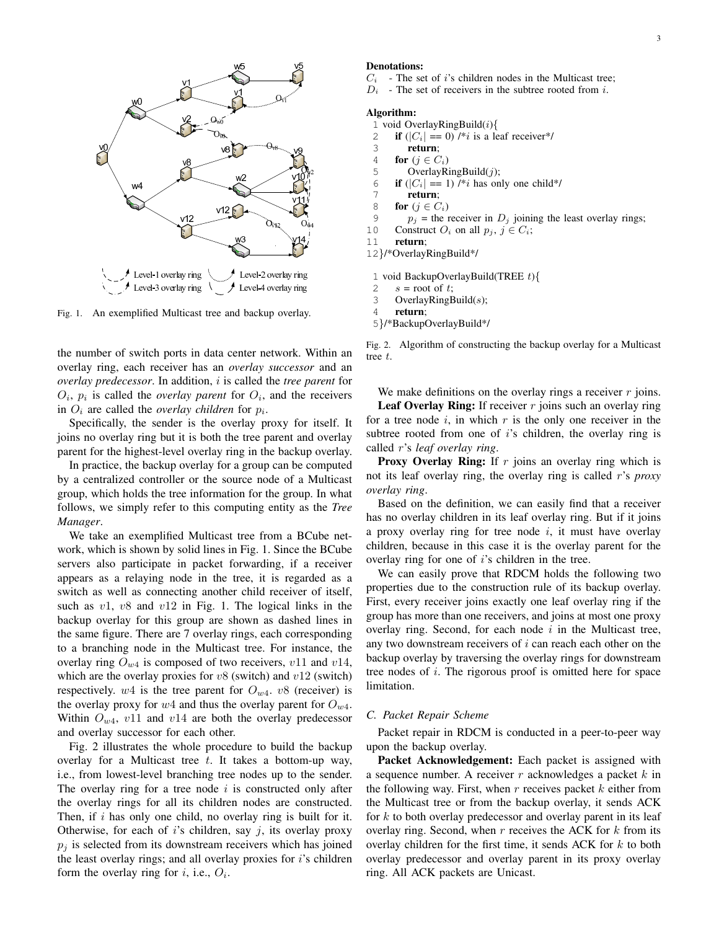

Fig. 1. An exemplified Multicast tree and backup overlay.

the number of switch ports in data center network. Within an overlay ring, each receiver has an *overlay successor* and an *overlay predecessor*. In addition, i is called the *tree parent* for  $O_i$ ,  $p_i$  is called the *overlay parent* for  $O_i$ , and the receivers in  $O_i$  are called the *overlay children* for  $p_i$ .

Specifically, the sender is the overlay proxy for itself. It joins no overlay ring but it is both the tree parent and overlay parent for the highest-level overlay ring in the backup overlay.

In practice, the backup overlay for a group can be computed by a centralized controller or the source node of a Multicast group, which holds the tree information for the group. In what follows, we simply refer to this computing entity as the *Tree Manager*.

We take an exemplified Multicast tree from a BCube network, which is shown by solid lines in Fig. 1. Since the BCube servers also participate in packet forwarding, if a receiver appears as a relaying node in the tree, it is regarded as a switch as well as connecting another child receiver of itself, such as  $v1$ ,  $v8$  and  $v12$  in Fig. 1. The logical links in the backup overlay for this group are shown as dashed lines in the same figure. There are 7 overlay rings, each corresponding to a branching node in the Multicast tree. For instance, the overlay ring  $O_{w4}$  is composed of two receivers, v11 and v14, which are the overlay proxies for  $v8$  (switch) and  $v12$  (switch) respectively.  $w_4$  is the tree parent for  $O_{w_4}$ .  $v_8$  (receiver) is the overlay proxy for  $w_4$  and thus the overlay parent for  $O_{w_4}$ . Within  $O_{w4}$ , v11 and v14 are both the overlay predecessor and overlay successor for each other.

Fig. 2 illustrates the whole procedure to build the backup overlay for a Multicast tree  $t$ . It takes a bottom-up way, i.e., from lowest-level branching tree nodes up to the sender. The overlay ring for a tree node  $i$  is constructed only after the overlay rings for all its children nodes are constructed. Then, if  $i$  has only one child, no overlay ring is built for it. Otherwise, for each of  $i$ 's children, say  $j$ , its overlay proxy  $p_i$  is selected from its downstream receivers which has joined the least overlay rings; and all overlay proxies for  $i$ 's children form the overlay ring for  $i$ , i.e.,  $O_i$ .

## Denotations:

- $C_i$  The set of i's children nodes in the Multicast tree;
- $D_i$  The set of receivers in the subtree rooted from i.

# Algorithm:

- 1 void OverlayRingBuild $(i)$ {
- 2 if  $(|C_i| == 0)$  /\**i* is a leaf receiver\*/
- 3 return; 4 for  $(j \in C_i)$
- 5 OverlayRingBuild $(j)$ ;
- 6 if  $(|C_i| == 1)$  /\**i* has only one child\*/
- 
- 7 return;<br>8 for  $(i \in C)$
- 8 **for**  $(j \in C_i)$ <br>9  $p_i$  = the 1  $p_j$  = the receiver in  $D_j$  joining the least overlay rings;
- 10 Construct  $O_i$  on all  $p_j$ ,  $j \in C_i$ ;
- 11 return;
- 12}/\*OverlayRingBuild\*/

1 void BackupOverlayBuild(TREE t){

- 2  $s =$  root of t;
- 3 OverlayRingBuild $(s)$ ;
- 4 return;
- 5}/\*BackupOverlayBuild\*/

Fig. 2. Algorithm of constructing the backup overlay for a Multicast tree t.

We make definitions on the overlay rings a receiver  $r$  joins. **Leaf Overlay Ring:** If receiver  $r$  joins such an overlay ring for a tree node  $i$ , in which  $r$  is the only one receiver in the subtree rooted from one of  $i$ 's children, the overlay ring is called r's *leaf overlay ring*.

**Proxy Overlay Ring:** If  $r$  joins an overlay ring which is not its leaf overlay ring, the overlay ring is called r's *proxy overlay ring*.

Based on the definition, we can easily find that a receiver has no overlay children in its leaf overlay ring. But if it joins a proxy overlay ring for tree node  $i$ , it must have overlay children, because in this case it is the overlay parent for the overlay ring for one of  $i$ 's children in the tree.

We can easily prove that RDCM holds the following two properties due to the construction rule of its backup overlay. First, every receiver joins exactly one leaf overlay ring if the group has more than one receivers, and joins at most one proxy overlay ring. Second, for each node  $i$  in the Multicast tree, any two downstream receivers of  $i$  can reach each other on the backup overlay by traversing the overlay rings for downstream tree nodes of i. The rigorous proof is omitted here for space limitation.

# *C. Packet Repair Scheme*

Packet repair in RDCM is conducted in a peer-to-peer way upon the backup overlay.

Packet Acknowledgement: Each packet is assigned with a sequence number. A receiver  $r$  acknowledges a packet  $k$  in the following way. First, when  $r$  receives packet  $k$  either from the Multicast tree or from the backup overlay, it sends ACK for  $k$  to both overlay predecessor and overlay parent in its leaf overlay ring. Second, when  $r$  receives the ACK for  $k$  from its overlay children for the first time, it sends ACK for  $k$  to both overlay predecessor and overlay parent in its proxy overlay ring. All ACK packets are Unicast.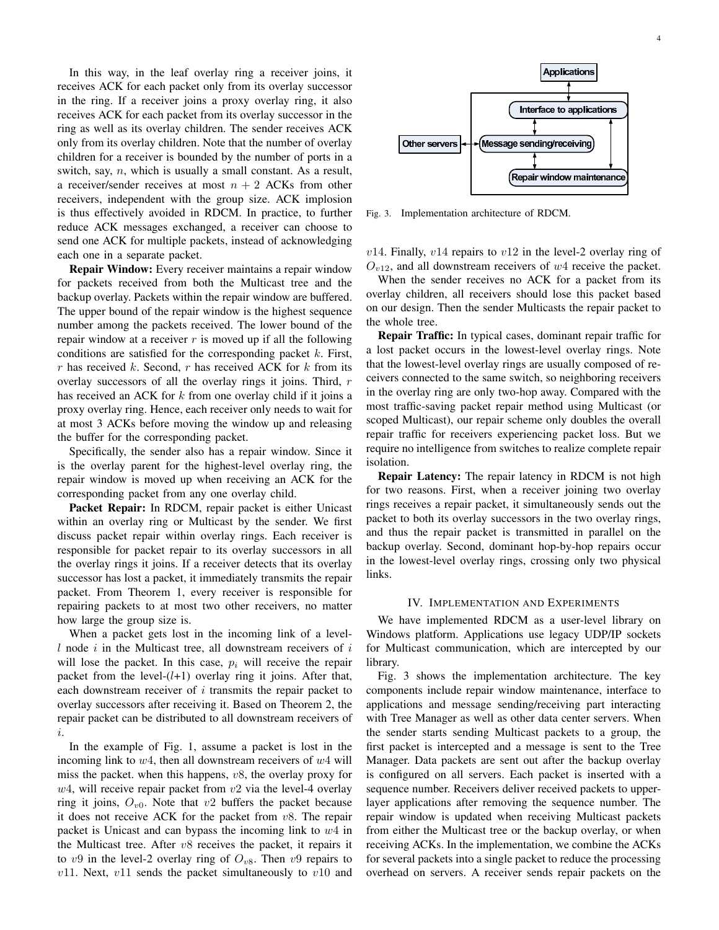In this way, in the leaf overlay ring a receiver joins, it receives ACK for each packet only from its overlay successor in the ring. If a receiver joins a proxy overlay ring, it also receives ACK for each packet from its overlay successor in the ring as well as its overlay children. The sender receives ACK only from its overlay children. Note that the number of overlay children for a receiver is bounded by the number of ports in a switch, say,  $n$ , which is usually a small constant. As a result, a receiver/sender receives at most  $n + 2$  ACKs from other receivers, independent with the group size. ACK implosion is thus effectively avoided in RDCM. In practice, to further reduce ACK messages exchanged, a receiver can choose to send one ACK for multiple packets, instead of acknowledging each one in a separate packet.

Repair Window: Every receiver maintains a repair window for packets received from both the Multicast tree and the backup overlay. Packets within the repair window are buffered. The upper bound of the repair window is the highest sequence number among the packets received. The lower bound of the repair window at a receiver  $r$  is moved up if all the following conditions are satisfied for the corresponding packet  $k$ . First,  $r$  has received k. Second,  $r$  has received ACK for  $k$  from its overlay successors of all the overlay rings it joins. Third, r has received an ACK for  $k$  from one overlay child if it joins a proxy overlay ring. Hence, each receiver only needs to wait for at most 3 ACKs before moving the window up and releasing the buffer for the corresponding packet.

Specifically, the sender also has a repair window. Since it is the overlay parent for the highest-level overlay ring, the repair window is moved up when receiving an ACK for the corresponding packet from any one overlay child.

Packet Repair: In RDCM, repair packet is either Unicast within an overlay ring or Multicast by the sender. We first discuss packet repair within overlay rings. Each receiver is responsible for packet repair to its overlay successors in all the overlay rings it joins. If a receiver detects that its overlay successor has lost a packet, it immediately transmits the repair packet. From Theorem 1, every receiver is responsible for repairing packets to at most two other receivers, no matter how large the group size is.

When a packet gets lost in the incoming link of a levell node i in the Multicast tree, all downstream receivers of i will lose the packet. In this case,  $p_i$  will receive the repair packet from the level- $(l+1)$  overlay ring it joins. After that, each downstream receiver of  $i$  transmits the repair packet to overlay successors after receiving it. Based on Theorem 2, the repair packet can be distributed to all downstream receivers of i.

In the example of Fig. 1, assume a packet is lost in the incoming link to  $w4$ , then all downstream receivers of  $w4$  will miss the packet. when this happens,  $v8$ , the overlay proxy for  $w4$ , will receive repair packet from  $v2$  via the level-4 overlay ring it joins,  $O_{v0}$ . Note that  $v2$  buffers the packet because it does not receive ACK for the packet from  $v8$ . The repair packet is Unicast and can bypass the incoming link to  $w_4$  in the Multicast tree. After  $v8$  receives the packet, it repairs it to  $v9$  in the level-2 overlay ring of  $O_{v8}$ . Then  $v9$  repairs to  $v11$ . Next,  $v11$  sends the packet simultaneously to  $v10$  and



Fig. 3. Implementation architecture of RDCM.

 $v14$ . Finally,  $v14$  repairs to  $v12$  in the level-2 overlay ring of  $O_{v12}$ , and all downstream receivers of  $w4$  receive the packet.

When the sender receives no ACK for a packet from its overlay children, all receivers should lose this packet based on our design. Then the sender Multicasts the repair packet to the whole tree.

Repair Traffic: In typical cases, dominant repair traffic for a lost packet occurs in the lowest-level overlay rings. Note that the lowest-level overlay rings are usually composed of receivers connected to the same switch, so neighboring receivers in the overlay ring are only two-hop away. Compared with the most traffic-saving packet repair method using Multicast (or scoped Multicast), our repair scheme only doubles the overall repair traffic for receivers experiencing packet loss. But we require no intelligence from switches to realize complete repair isolation.

Repair Latency: The repair latency in RDCM is not high for two reasons. First, when a receiver joining two overlay rings receives a repair packet, it simultaneously sends out the packet to both its overlay successors in the two overlay rings, and thus the repair packet is transmitted in parallel on the backup overlay. Second, dominant hop-by-hop repairs occur in the lowest-level overlay rings, crossing only two physical links.

#### IV. IMPLEMENTATION AND EXPERIMENTS

We have implemented RDCM as a user-level library on Windows platform. Applications use legacy UDP/IP sockets for Multicast communication, which are intercepted by our library.

Fig. 3 shows the implementation architecture. The key components include repair window maintenance, interface to applications and message sending/receiving part interacting with Tree Manager as well as other data center servers. When the sender starts sending Multicast packets to a group, the first packet is intercepted and a message is sent to the Tree Manager. Data packets are sent out after the backup overlay is configured on all servers. Each packet is inserted with a sequence number. Receivers deliver received packets to upperlayer applications after removing the sequence number. The repair window is updated when receiving Multicast packets from either the Multicast tree or the backup overlay, or when receiving ACKs. In the implementation, we combine the ACKs for several packets into a single packet to reduce the processing overhead on servers. A receiver sends repair packets on the